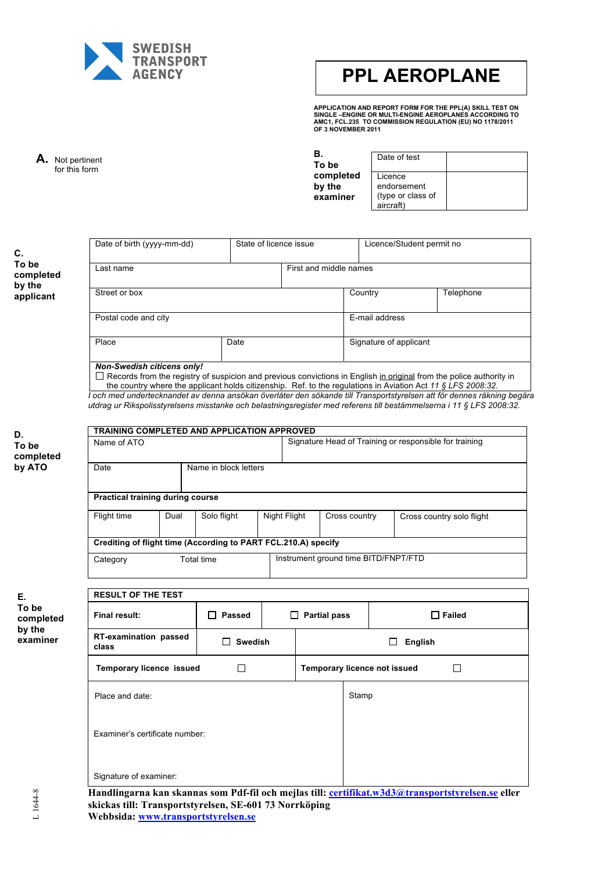

# **PPL AEROPLANE**

**APPLICATION AND REPORT FORM FOR THE PPL(A) SKILL TEST ON SINGLE –ENGINE OR MULTI-ENGINE AEROPLANES ACCORDING TO AMC1, FCL.235 TO COMMISSION REGULATION (EU) NO 1178/2011 OF 3 NOVEMBER 2011**

**A.** Not pertinent for this form

 $\mathbf{r}$ 

**B. To be complete by the examine** 

|    | Date of test                   |  |
|----|--------------------------------|--|
| ∍d | Licence<br>endorsement         |  |
| r  | (type or class of<br>aircraft) |  |

**C. To be completed by the applicant**

| Date of birth (yyyy-mm-dd)                    | State of licence issue |                        | Licence/Student permit no |           |
|-----------------------------------------------|------------------------|------------------------|---------------------------|-----------|
| Last name                                     |                        | First and middle names |                           |           |
| Street or box                                 |                        |                        | Country                   | Telephone |
| Postal code and city                          |                        |                        | E-mail address            |           |
| Place                                         | Date                   |                        | Signature of applicant    |           |
| <b>Non-Swedish citicens only!</b><br>________ |                        |                        |                           |           |

Records from the registry of suspicion and previous convictions in English in original from the police authority in the country where the applicant holds citizenship. Ref. to the regulations in Aviation Act *11 § LFS 2008:32*.

*I och med undertecknandet av denna ansökan överlåter den sökande till Transportstyrelsen att för dennes räkning begära utdrag ur Rikspolisstyrelsens misstanke och belastningsregister med referens till bestämmelserna i 11 § LFS 2008:32.*

| D.                 |                                  |      | TRAINING COMPLETED AND APPLICATION APPROVED                    |                          |                                                        |              |               |                                                                                                   |
|--------------------|----------------------------------|------|----------------------------------------------------------------|--------------------------|--------------------------------------------------------|--------------|---------------|---------------------------------------------------------------------------------------------------|
| To be<br>completed | Name of ATO                      |      |                                                                |                          | Signature Head of Training or responsible for training |              |               |                                                                                                   |
| by ATO             | Date                             |      | Name in block letters                                          |                          |                                                        |              |               |                                                                                                   |
|                    | Practical training during course |      |                                                                |                          |                                                        |              |               |                                                                                                   |
|                    | Flight time                      | Dual | Solo flight                                                    | Night Flight             |                                                        |              | Cross country | Cross country solo flight                                                                         |
|                    |                                  |      | Crediting of flight time (According to PART FCL.210.A) specify |                          |                                                        |              |               |                                                                                                   |
|                    | Category                         |      | Total time                                                     |                          |                                                        |              |               | Instrument ground time BITD/FNPT/FTD                                                              |
| Е.                 | <b>RESULT OF THE TEST</b>        |      |                                                                |                          |                                                        |              |               |                                                                                                   |
| To be<br>completed | <b>Final result:</b>             |      | $\Box$ Passed                                                  | <b>Partial pass</b><br>П |                                                        |              |               | $\Box$ Failed                                                                                     |
| by the<br>examiner | RT-examination passed<br>class   |      | <b>Swedish</b>                                                 |                          |                                                        | П<br>English |               |                                                                                                   |
|                    | <b>Temporary licence issued</b>  |      | $\Box$                                                         |                          | Temporary licence not issued                           |              | $\Box$        |                                                                                                   |
|                    | Place and date:                  |      |                                                                |                          |                                                        |              | Stamp         |                                                                                                   |
|                    | Examiner's certificate number:   |      |                                                                |                          |                                                        |              |               |                                                                                                   |
|                    | Signature of examiner:           |      |                                                                |                          |                                                        |              |               |                                                                                                   |
| 644-8              |                                  |      | skickas till: Transportstyrelsen, SE-601 73 Norrköping         |                          |                                                        |              |               | Handlingarna kan skannas som Pdf-fil och mejlas till: certifikat.w3d3@transportstyrelsen.se eller |

**Webbsida: www.transportstyrelsen.se**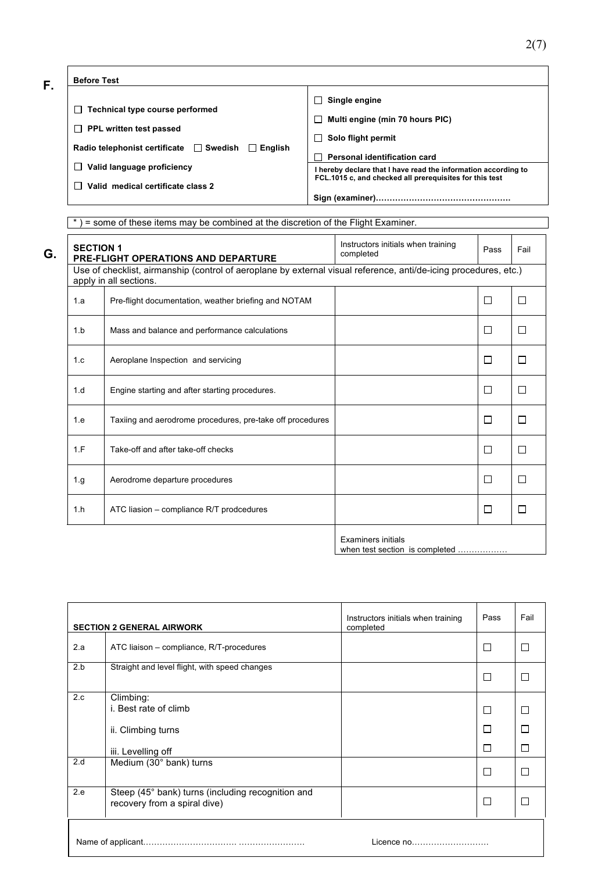**F.**

#### **Before Test**

| $\Box$ Single engine                            |
|-------------------------------------------------|
| Multi engine (min 70 hours PIC)<br>$\mathbf{I}$ |

 **Solo flight permit** 

**Personal identification card** 

 **PPL written test passed** 

**Radio telephonist certificate** □ Swedish □ English

- **Valid language proficiency**
- **Valid medical certificate class 2**

 **Technical type course performed** 

**Sign (examiner)………………………………………….**

**I hereby declare that I have read the information according to FCL.1015 c, and checked all prerequisites for this test** 

Τ

Τ

\* ) = some of these items may be combined at the discretion of the Flight Examiner.

| <b>SECTION 1</b> | <b>PRE-FLIGHT OPERATIONS AND DEPARTURE</b>                                                                                                 | Instructors initials when training<br>completed | Pass   | Fail    |
|------------------|--------------------------------------------------------------------------------------------------------------------------------------------|-------------------------------------------------|--------|---------|
|                  | Use of checklist, airmanship (control of aeroplane by external visual reference, anti/de-icing procedures, etc.)<br>apply in all sections. |                                                 |        |         |
| 1.a              | Pre-flight documentation, weather briefing and NOTAM                                                                                       |                                                 | П      | П       |
| 1.b              | Mass and balance and performance calculations                                                                                              |                                                 | П      | $\Box$  |
| 1.c              | Aeroplane Inspection and servicing                                                                                                         |                                                 | П      | П       |
| 1.d              | Engine starting and after starting procedures.                                                                                             |                                                 | П      | П       |
| 1.e              | Taxiing and aerodrome procedures, pre-take off procedures                                                                                  |                                                 | П      | П       |
| 1.F              | Take-off and after take-off checks                                                                                                         |                                                 | П      | $\perp$ |
| 1.g              | Aerodrome departure procedures                                                                                                             |                                                 | $\Box$ | П       |
| 1.h              | ATC liasion – compliance R/T prodcedures                                                                                                   |                                                 | $\Box$ | П       |
|                  |                                                                                                                                            |                                                 |        |         |

Examiners initials when test section is completed.

|            | <b>SECTION 2 GENERAL AIRWORK</b>                                                  | Instructors initials when training<br>completed | Pass   | Fail   |  |  |
|------------|-----------------------------------------------------------------------------------|-------------------------------------------------|--------|--------|--|--|
| 2.a        | ATC liaison - compliance, R/T-procedures                                          |                                                 | □      | $\Box$ |  |  |
| 2.b        | Straight and level flight, with speed changes                                     |                                                 | П      | г      |  |  |
| 2.c        | Climbing:<br>i. Best rate of climb                                                |                                                 | □      | П      |  |  |
|            | ii. Climbing turns                                                                |                                                 | $\Box$ |        |  |  |
|            | iii. Levelling off                                                                |                                                 | $\Box$ |        |  |  |
| 2.d        | Medium (30° bank) turns                                                           |                                                 | П      | г      |  |  |
| 2.e        | Steep (45° bank) turns (including recognition and<br>recovery from a spiral dive) |                                                 | □      | Г      |  |  |
| Licence no |                                                                                   |                                                 |        |        |  |  |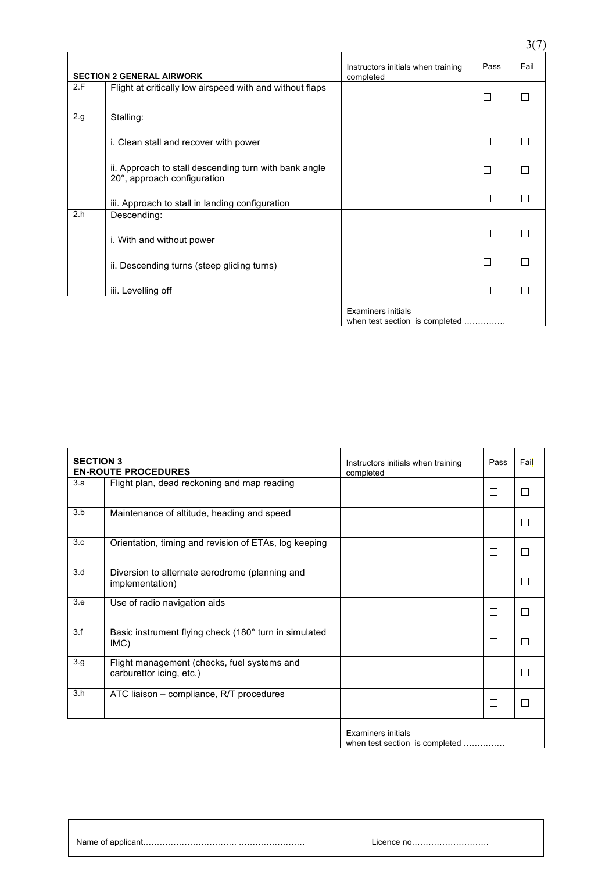|     |                                                                                      |                                                 |                          | 3(7)                        |
|-----|--------------------------------------------------------------------------------------|-------------------------------------------------|--------------------------|-----------------------------|
|     | <b>SECTION 2 GENERAL AIRWORK</b>                                                     | Instructors initials when training<br>completed | Pass                     | Fail                        |
| 2.F | Flight at critically low airspeed with and without flaps                             |                                                 | □                        | $\Box$                      |
| 2.g | Stalling:                                                                            |                                                 |                          |                             |
|     | i. Clean stall and recover with power                                                |                                                 | $\Box$                   | П                           |
|     | ii. Approach to stall descending turn with bank angle<br>20°, approach configuration |                                                 | П                        | П                           |
|     | iii. Approach to stall in landing configuration                                      |                                                 | П                        | П                           |
| 2.h | Descending:                                                                          |                                                 |                          |                             |
|     | i. With and without power                                                            |                                                 | □                        | $\mathcal{L}_{\mathcal{A}}$ |
|     | ii. Descending turns (steep gliding turns)                                           |                                                 | $\Box$                   | $\sim$                      |
|     | iii. Levelling off                                                                   |                                                 | $\overline{\phantom{a}}$ |                             |
|     |                                                                                      | Examiners initials                              |                          |                             |

when test section is completed .............

| <b>SECTION 3</b> | <b>EN-ROUTE PROCEDURES</b>                                              | Instructors initials when training<br>completed | Pass | Fail         |
|------------------|-------------------------------------------------------------------------|-------------------------------------------------|------|--------------|
| 3.a              | Flight plan, dead reckoning and map reading                             |                                                 | П    | П            |
| 3.b              | Maintenance of altitude, heading and speed                              |                                                 | П    | П            |
| 3.c              | Orientation, timing and revision of ETAs, log keeping                   |                                                 | П    | П            |
| 3.d              | Diversion to alternate aerodrome (planning and<br>implementation)       |                                                 | П    | П            |
| 3.e              | Use of radio navigation aids                                            |                                                 | П    | ⊓            |
| 3.f              | Basic instrument flying check (180° turn in simulated<br>IMC)           |                                                 | □    | П            |
| 3.g              | Flight management (checks, fuel systems and<br>carburettor icing, etc.) |                                                 | □    | П            |
| 3.h              | ATC liaison - compliance, R/T procedures                                |                                                 | П    | $\mathsf{L}$ |
|                  |                                                                         |                                                 |      |              |

Examiners initials when test section is completed ……………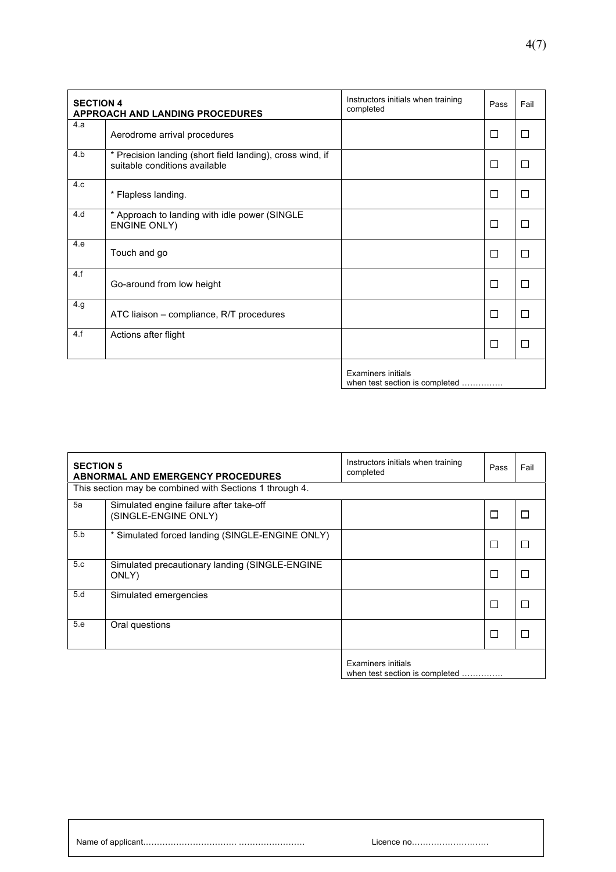| <b>SECTION 4</b> | <b>APPROACH AND LANDING PROCEDURES</b>                                                     | Instructors initials when training<br>completed      | Pass   | Fail |
|------------------|--------------------------------------------------------------------------------------------|------------------------------------------------------|--------|------|
| 4.a              | Aerodrome arrival procedures                                                               |                                                      | $\Box$ | П    |
| 4.b              | * Precision landing (short field landing), cross wind, if<br>suitable conditions available |                                                      | П      | П    |
| 4.c              | * Flapless landing.                                                                        |                                                      | П      | П    |
| 4.d              | * Approach to landing with idle power (SINGLE<br><b>ENGINE ONLY)</b>                       |                                                      | $\Box$ | П    |
| 4.e              | Touch and go                                                                               |                                                      | $\Box$ | П    |
| 4.f              | Go-around from low height                                                                  |                                                      | П      | П    |
| 4.g              | ATC liaison - compliance, R/T procedures                                                   |                                                      | П      | П    |
| 4.f              | Actions after flight                                                                       |                                                      | $\Box$ | П    |
|                  |                                                                                            | Examiners initials<br>when test section is completed |        |      |

| <b>SECTION 5</b> | <b>ABNORMAL AND EMERGENCY PROCEDURES</b>                        | Instructors initials when training<br>completed      | Pass   | Fail |
|------------------|-----------------------------------------------------------------|------------------------------------------------------|--------|------|
|                  | This section may be combined with Sections 1 through 4.         |                                                      |        |      |
| 5a               | Simulated engine failure after take-off<br>(SINGLE-ENGINE ONLY) |                                                      | $\Box$ |      |
| 5.b              | * Simulated forced landing (SINGLE-ENGINE ONLY)                 |                                                      | $\Box$ |      |
| 5.c              | Simulated precautionary landing (SINGLE-ENGINE<br>ONLY)         |                                                      | Е      |      |
| 5.d              | Simulated emergencies                                           |                                                      | $\Box$ |      |
| 5.e              | Oral questions                                                  |                                                      | $\Box$ |      |
|                  |                                                                 | Examiners initials<br>when test section is completed |        |      |

Examiners initials when test section is completed ……………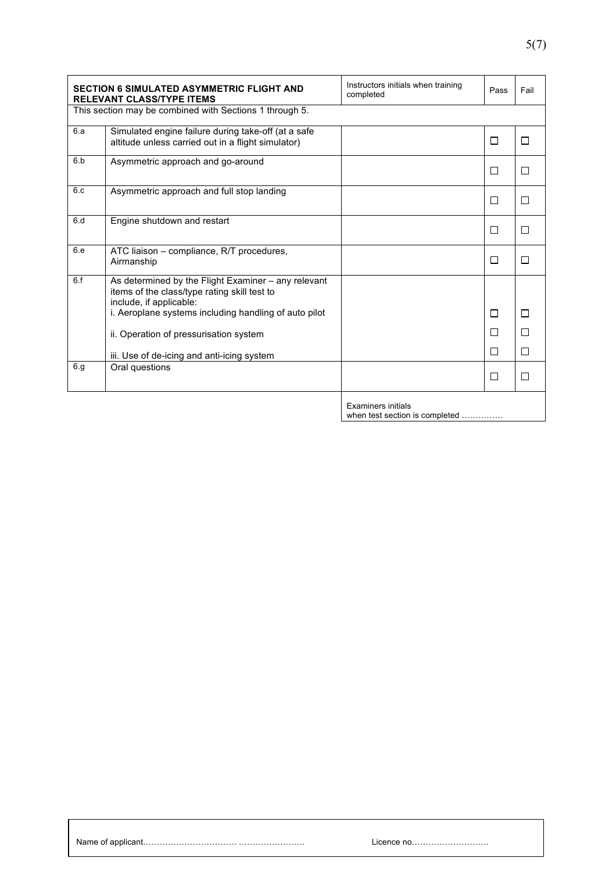|     | <b>SECTION 6 SIMULATED ASYMMETRIC FLIGHT AND</b><br><b>RELEVANT CLASS/TYPE ITEMS</b>                                                                                                    | Instructors initials when training<br>completed | Pass        | Fail   |
|-----|-----------------------------------------------------------------------------------------------------------------------------------------------------------------------------------------|-------------------------------------------------|-------------|--------|
|     | This section may be combined with Sections 1 through 5.                                                                                                                                 |                                                 |             |        |
| 6.a | Simulated engine failure during take-off (at a safe<br>altitude unless carried out in a flight simulator)                                                                               |                                                 | $\Box$      | П      |
| 6.b | Asymmetric approach and go-around                                                                                                                                                       |                                                 | П           | П      |
| 6.c | Asymmetric approach and full stop landing                                                                                                                                               |                                                 | $\Box$      | П      |
| 6.d | Engine shutdown and restart                                                                                                                                                             |                                                 | П           | П      |
| 6.e | ATC liaison - compliance, R/T procedures,<br>Airmanship                                                                                                                                 |                                                 | $\Box$      | П      |
| 6.f | As determined by the Flight Examiner - any relevant<br>items of the class/type rating skill test to<br>include, if applicable:<br>i. Aeroplane systems including handling of auto pilot |                                                 | П           | П      |
|     | ii. Operation of pressurisation system<br>iii. Use of de-icing and anti-icing system                                                                                                    |                                                 | П<br>$\Box$ | П<br>П |
| 6.g | Oral questions                                                                                                                                                                          |                                                 | $\Box$      | П      |
|     |                                                                                                                                                                                         | <b>Examiners initials</b>                       |             |        |

Examiners initials when test section is completed ……………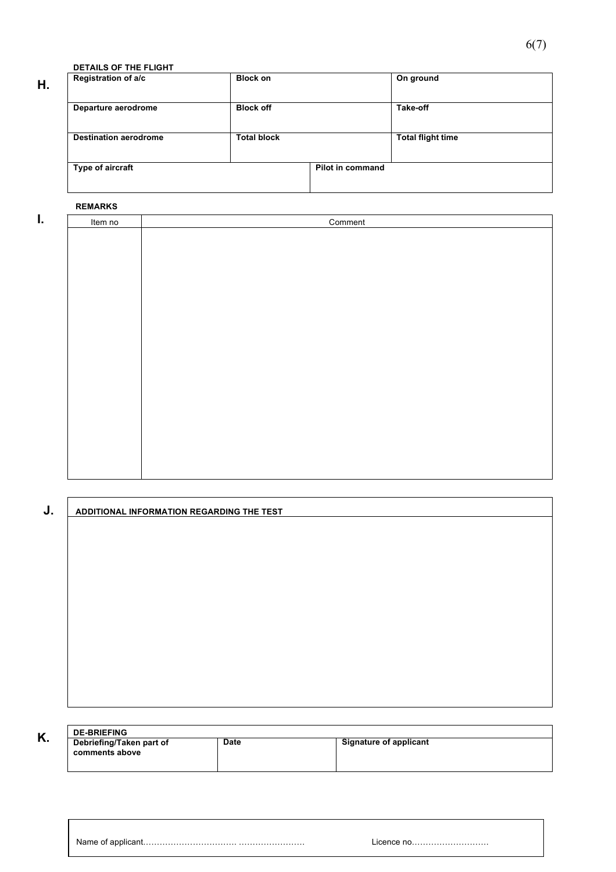**DETAILS OF THE FLIGHT**

### **H.**

| Registration of a/c          | <b>Block on</b>    |                  | On ground                |
|------------------------------|--------------------|------------------|--------------------------|
| Departure aerodrome          | <b>Block off</b>   |                  | Take-off                 |
| <b>Destination aerodrome</b> | <b>Total block</b> |                  | <b>Total flight time</b> |
| Type of aircraft             |                    | Pilot in command |                          |

#### **REMARKS**

| I. | Item no | Comment |  |  |
|----|---------|---------|--|--|
|    |         |         |  |  |
|    |         |         |  |  |
|    |         |         |  |  |
|    |         |         |  |  |
|    |         |         |  |  |
|    |         |         |  |  |
|    |         |         |  |  |
|    |         |         |  |  |
|    |         |         |  |  |
|    |         |         |  |  |
|    |         |         |  |  |
|    |         |         |  |  |
|    |         |         |  |  |
|    |         |         |  |  |
|    |         |         |  |  |
|    |         |         |  |  |
|    |         |         |  |  |
|    |         |         |  |  |
|    |         |         |  |  |

| J. | ADDITIONAL INFORMATION REGARDING THE TEST |  |  |  |  |
|----|-------------------------------------------|--|--|--|--|
|    |                                           |  |  |  |  |
|    |                                           |  |  |  |  |
|    |                                           |  |  |  |  |
|    |                                           |  |  |  |  |
|    |                                           |  |  |  |  |
|    |                                           |  |  |  |  |
|    |                                           |  |  |  |  |
|    |                                           |  |  |  |  |
|    |                                           |  |  |  |  |
|    |                                           |  |  |  |  |
|    |                                           |  |  |  |  |
|    |                                           |  |  |  |  |

| V<br>r. | <b>DE-BRIEFING</b>       |             |                        |  |  |  |
|---------|--------------------------|-------------|------------------------|--|--|--|
|         | Debriefing/Taken part of | <b>Date</b> | Signature of applicant |  |  |  |
|         | comments above           |             |                        |  |  |  |
|         |                          |             |                        |  |  |  |